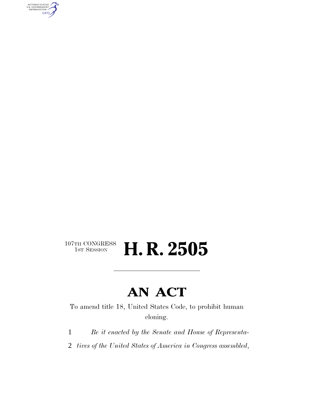AUTHENTICATED<br>U.S. GOVERNMENT<br>INFORMATION GPO

# $107\text{TH CONGRESS}\over 1\text{ST} \text{Session}$ H. R. 2505

# **AN ACT**

To amend title 18, United States Code, to prohibit human cloning.

- 1 *Be it enacted by the Senate and House of Representa-*
- 2 *tives of the United States of America in Congress assembled*,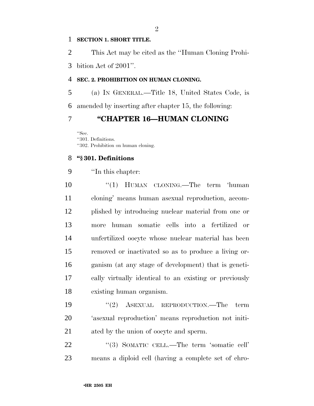#### **SECTION 1. SHORT TITLE.**

This Act may be cited as the ''Human Cloning Prohi-

bition Act of 2001''.

## **SEC. 2. PROHIBITION ON HUMAN CLONING.**

 (a) IN GENERAL.—Title 18, United States Code, is amended by inserting after chapter 15, the following:

## **''CHAPTER 16—HUMAN CLONING**

''Sec. ''301. Definitions. ''302. Prohibition on human cloning.

### **''§ 301. Definitions**

''In this chapter:

10 ''(1) HUMAN CLONING.—The term 'human cloning' means human asexual reproduction, accom- plished by introducing nuclear material from one or more human somatic cells into a fertilized or unfertilized oocyte whose nuclear material has been removed or inactivated so as to produce a living or- ganism (at any stage of development) that is geneti- cally virtually identical to an existing or previously existing human organism.

19 "(2) ASEXUAL REPRODUCTION.—The term 'asexual reproduction' means reproduction not initi-ated by the union of oocyte and sperm.

22 "(3) SOMATIC CELL.—The term 'somatic cell' means a diploid cell (having a complete set of chro-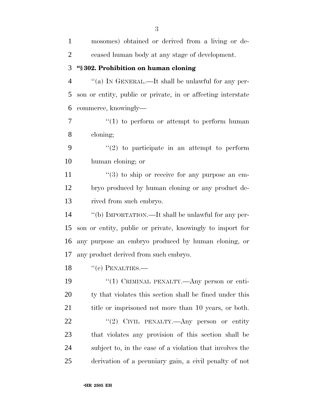mosomes) obtained or derived from a living or de- ceased human body at any stage of development. **''§ 302. Prohibition on human cloning** ''(a) IN GENERAL.—It shall be unlawful for any per- son or entity, public or private, in or affecting interstate commerce, knowingly—  $\frac{u(1)}{2}$  to perform or attempt to perform human cloning;  $\frac{1}{2}$  to participate in an attempt to perform human cloning; or  $\frac{11}{2}$  ''(3) to ship or receive for any purpose an em- bryo produced by human cloning or any product de- rived from such embryo. ''(b) IMPORTATION.—It shall be unlawful for any per- son or entity, public or private, knowingly to import for any purpose an embryo produced by human cloning, or any product derived from such embryo. 18 "(c) PENALTIES.—  $\frac{1}{2}$  (1) CRIMINAL PENALTY.—Any person or enti- ty that violates this section shall be fined under this 21 title or imprisoned not more than 10 years, or both. 22 "'(2) CIVIL PENALTY.—Any person or entity that violates any provision of this section shall be subject to, in the case of a violation that involves the derivation of a pecuniary gain, a civil penalty of not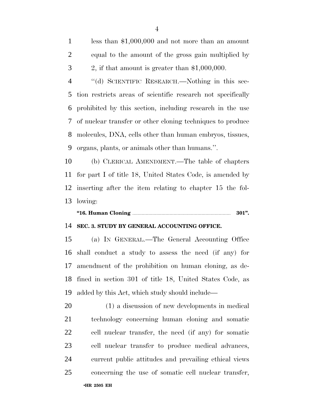less than \$1,000,000 and not more than an amount equal to the amount of the gross gain multiplied by 2, if that amount is greater than \$1,000,000.

 ''(d) SCIENTIFIC RESEARCH.—Nothing in this sec- tion restricts areas of scientific research not specifically prohibited by this section, including research in the use of nuclear transfer or other cloning techniques to produce molecules, DNA, cells other than human embryos, tissues, organs, plants, or animals other than humans.''.

 (b) CLERICAL AMENDMENT.—The table of chapters for part I of title 18, United States Code, is amended by inserting after the item relating to chapter 15 the fol-lowing:

# **''16. Human Cloning** .......................................................................... **301''.**

### **SEC. 3. STUDY BY GENERAL ACCOUNTING OFFICE.**

 (a) IN GENERAL.—The General Accounting Office shall conduct a study to assess the need (if any) for amendment of the prohibition on human cloning, as de- fined in section 301 of title 18, United States Code, as added by this Act, which study should include—

 (1) a discussion of new developments in medical technology concerning human cloning and somatic cell nuclear transfer, the need (if any) for somatic cell nuclear transfer to produce medical advances, current public attitudes and prevailing ethical views concerning the use of somatic cell nuclear transfer,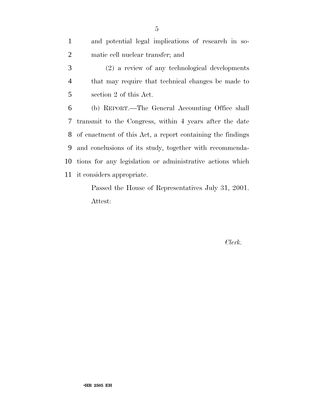| $\mathbf{1}$   | and potential legal implications of research in so-                                                                                                                                                                                                                                                                                                                                       |
|----------------|-------------------------------------------------------------------------------------------------------------------------------------------------------------------------------------------------------------------------------------------------------------------------------------------------------------------------------------------------------------------------------------------|
| 2              | matic cell nuclear transfer; and                                                                                                                                                                                                                                                                                                                                                          |
| 3              | (2) a review of any technological developments                                                                                                                                                                                                                                                                                                                                            |
| $\overline{4}$ | that may require that technical changes be made to                                                                                                                                                                                                                                                                                                                                        |
| 5              | section 2 of this Act.                                                                                                                                                                                                                                                                                                                                                                    |
| 6              | (b) REPORT.—The General Accounting Office shall                                                                                                                                                                                                                                                                                                                                           |
|                | 7 transmit to the Congress, within 4 years after the date                                                                                                                                                                                                                                                                                                                                 |
|                | 8 of enactment of this Act, a report containing the findings                                                                                                                                                                                                                                                                                                                              |
| 9              | and conclusions of its study, together with recommenda-                                                                                                                                                                                                                                                                                                                                   |
|                | 10 tions for any legislation or administrative actions which                                                                                                                                                                                                                                                                                                                              |
|                | 11 it considers appropriate.                                                                                                                                                                                                                                                                                                                                                              |
|                | $\mathbf{I}$ $\mathbf{I}$ $\mathbf{I}$ $\mathbf{I}$ $\mathbf{I}$ $\mathbf{I}$ $\mathbf{I}$ $\mathbf{I}$ $\mathbf{I}$ $\mathbf{I}$ $\mathbf{I}$ $\mathbf{I}$ $\mathbf{I}$ $\mathbf{I}$ $\mathbf{I}$ $\mathbf{I}$ $\mathbf{I}$ $\mathbf{I}$ $\mathbf{I}$ $\mathbf{I}$ $\mathbf{I}$ $\mathbf{I}$ $\mathbf{I}$ $\mathbf{I}$ $\mathbf{$<br>$\mathbf{D}$ $\mathbf{H}$ $\mathbf{H}$ $\mathbf{H}$ |

Passed the House of Representatives July 31, 2001. Attest:

*Clerk.*